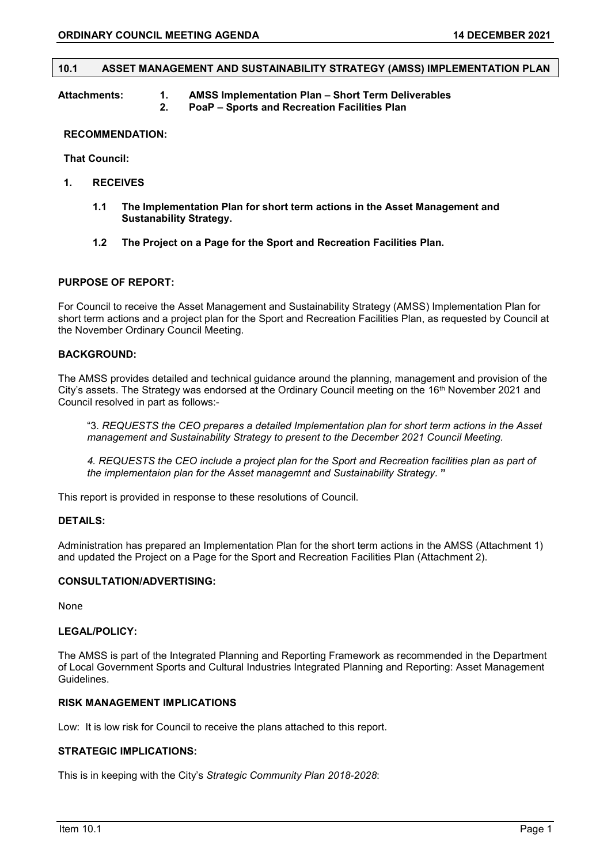#### 10.1 ASSET MANAGEMENT AND SUSTAINABILITY STRATEGY (AMSS) IMPLEMENTATION PLAN

| Attachments: | <b>AMSS Implementation Plan - Short Term Deliverables</b> |
|--------------|-----------------------------------------------------------|
|              | <b>PoaP – Sports and Recreation Facilities Plan</b>       |

#### RECOMMENDATION:

That Council:

- 1. RECEIVES
	- 1.1 The Implementation Plan for short term actions in the Asset Management and Sustanability Strategy.
	- 1.2 The Project on a Page for the Sport and Recreation Facilities Plan.

#### PURPOSE OF REPORT:

For Council to receive the Asset Management and Sustainability Strategy (AMSS) Implementation Plan for short term actions and a project plan for the Sport and Recreation Facilities Plan, as requested by Council at the November Ordinary Council Meeting.

## BACKGROUND:

The AMSS provides detailed and technical guidance around the planning, management and provision of the City's assets. The Strategy was endorsed at the Ordinary Council meeting on the 16th November 2021 and Council resolved in part as follows:-

"3. REQUESTS the CEO prepares a detailed Implementation plan for short term actions in the Asset management and Sustainability Strategy to present to the December 2021 Council Meeting.

4. REQUESTS the CEO include a project plan for the Sport and Recreation facilities plan as part of the implementaion plan for the Asset managemnt and Sustainability Strategy. "

This report is provided in response to these resolutions of Council.

# DETAILS:

Administration has prepared an Implementation Plan for the short term actions in the AMSS (Attachment 1) and updated the Project on a Page for the Sport and Recreation Facilities Plan (Attachment 2).

## CONSULTATION/ADVERTISING:

None

#### LEGAL/POLICY:

The AMSS is part of the Integrated Planning and Reporting Framework as recommended in the Department of Local Government Sports and Cultural Industries Integrated Planning and Reporting: Asset Management Guidelines.

## RISK MANAGEMENT IMPLICATIONS

Low: It is low risk for Council to receive the plans attached to this report.

### STRATEGIC IMPLICATIONS:

This is in keeping with the City's Strategic Community Plan 2018-2028: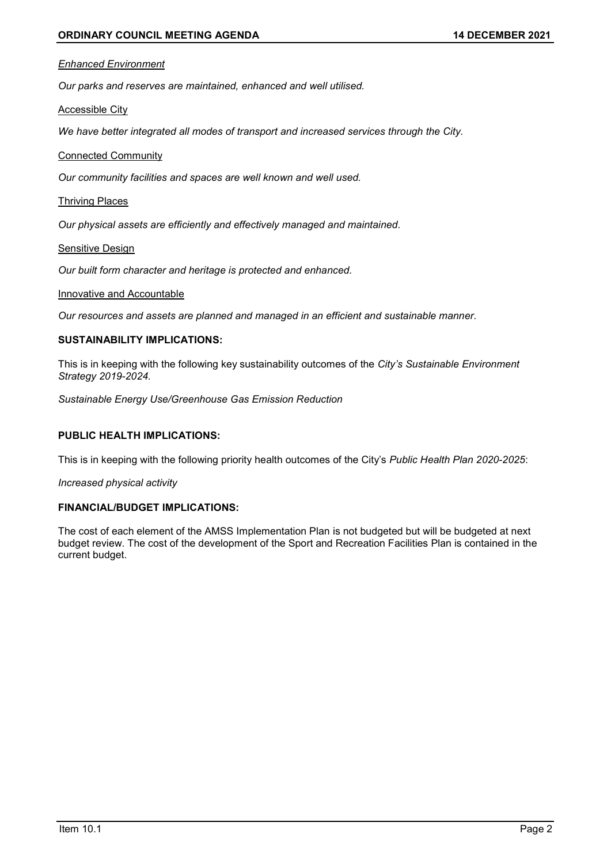#### Enhanced Environment

Our parks and reserves are maintained, enhanced and well utilised.

Accessible City

We have better integrated all modes of transport and increased services through the City.

# Connected Community

Our community facilities and spaces are well known and well used.

#### Thriving Places

Our physical assets are efficiently and effectively managed and maintained.

## Sensitive Design

Our built form character and heritage is protected and enhanced.

# Innovative and Accountable

Our resources and assets are planned and managed in an efficient and sustainable manner.

### SUSTAINABILITY IMPLICATIONS:

This is in keeping with the following key sustainability outcomes of the City's Sustainable Environment Strategy 2019-2024.

Sustainable Energy Use/Greenhouse Gas Emission Reduction

# PUBLIC HEALTH IMPLICATIONS:

This is in keeping with the following priority health outcomes of the City's Public Health Plan 2020-2025:

Increased physical activity

## FINANCIAL/BUDGET IMPLICATIONS:

The cost of each element of the AMSS Implementation Plan is not budgeted but will be budgeted at next budget review. The cost of the development of the Sport and Recreation Facilities Plan is contained in the current budget.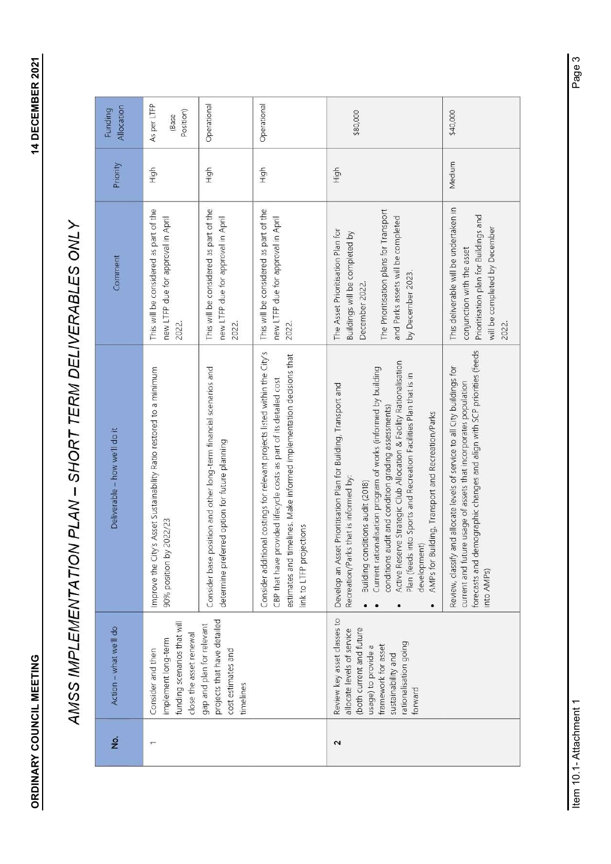| Action - what we'll do                                                                                                                                                                        | Deliverable - how we'll do it                                                                                                                                                                                                                                                                                                                                                                                                                                                                                                  | Comment                                                                                                                                                                                   | Priority | Allocation<br>Funding             |
|-----------------------------------------------------------------------------------------------------------------------------------------------------------------------------------------------|--------------------------------------------------------------------------------------------------------------------------------------------------------------------------------------------------------------------------------------------------------------------------------------------------------------------------------------------------------------------------------------------------------------------------------------------------------------------------------------------------------------------------------|-------------------------------------------------------------------------------------------------------------------------------------------------------------------------------------------|----------|-----------------------------------|
|                                                                                                                                                                                               |                                                                                                                                                                                                                                                                                                                                                                                                                                                                                                                                |                                                                                                                                                                                           |          |                                   |
| funding scenarios that will<br>close the asset renewal<br>implement long-term<br>Consider and then                                                                                            | Improve the City's Asset Sustainability Ratio restored to a minimum<br>90% position by 2022/23                                                                                                                                                                                                                                                                                                                                                                                                                                 | This will be considered as part of the<br>new LTFP due for approval in April<br>2022.                                                                                                     | High     | As per LTFP<br>Position)<br>(Base |
| projects that have detailed<br>gap and plan for relevant<br>cost estimates and<br>timelines                                                                                                   | Consider base position and other long-term financial scenarios and<br>determine preferred option for future planning                                                                                                                                                                                                                                                                                                                                                                                                           | This will be considered as part of the<br>new LTFP due for approval in April<br>2022.                                                                                                     | High     | Operational                       |
|                                                                                                                                                                                               | Consider additional costings for relevant projects listed within the City's<br>estimates and timelines. Make informed implementation decisions that<br>CBP that have provided lifecycle costs as part of its detailed cost<br>link to LTFP projections                                                                                                                                                                                                                                                                         | This will be considered as part of the<br>new LTFP due for approval in April<br>2022.                                                                                                     | High     | Operational                       |
| Review key asset classes to<br>(both current and future<br>allocate levels of service<br>rationalisation going<br>framework for asset<br>usage) to provide a<br>sustainability and<br>forward | Active Reserve Strategic Club Allocation & Facility Rationalisation<br>Current rationalisation program of works (informed by building<br>Plan (feeds into Sports and Recreation Facilities Plan that is in<br>Develop an Asset Prioritisation Plan for Building, Transport and<br>conditions audit and condition grading assessments)<br>AMPs for Building, Transport and Recreation/Parks<br>Recreation/Parks that is informed by:<br>Building conditions audit (2018)<br>development)<br>$\bullet$<br>$\bullet$<br>$\bullet$ | The Prioritisation plans for Transport<br>and Parks assets will be completed<br>The Asset Prioritisation Plan for<br>Buildings will be completed by<br>by December 2023<br>December 2022. | High     | \$80,000                          |
|                                                                                                                                                                                               | forecasts and demographic changes and align with SCP priorities (feeds<br>Review, classify and allocate levels of service to all City buildings for<br>current and future usage of assets that incorporates population<br>into AMP <sub>S</sub> )                                                                                                                                                                                                                                                                              | This deliverable will be undertaken in<br>Prioritisation plan for Buildings and<br>will be completed by December<br>conjunction with the asset<br>2022.                                   | Medium   | \$40,000                          |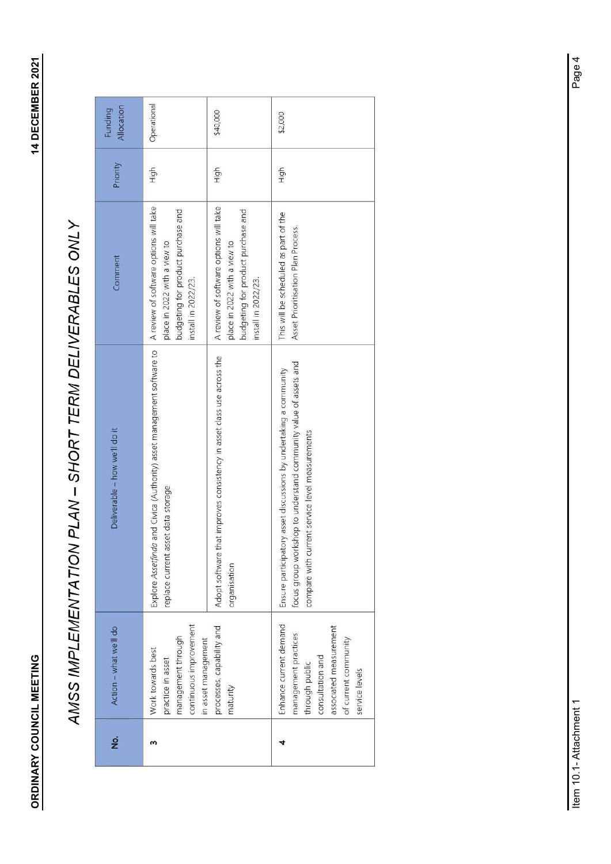|                      |                                                                                                                                                          | AMSS IMPLEMENTATION PLAN - SHORT TERM DELIVERABLES ONLY                                                                                                                                  |                                                                                                                                     |          |                       |
|----------------------|----------------------------------------------------------------------------------------------------------------------------------------------------------|------------------------------------------------------------------------------------------------------------------------------------------------------------------------------------------|-------------------------------------------------------------------------------------------------------------------------------------|----------|-----------------------|
| $\acute{\textbf{z}}$ | Action - what we'll do                                                                                                                                   | Deliverable - how we'll do it                                                                                                                                                            | Comment                                                                                                                             | Priority | Allocation<br>Funding |
| $\,$ m $\,$          | continuous improvement<br>management through<br>in asset management<br>Work towards best<br>practice in asset                                            | Explore Assetfinda and Civica (Authority) asset management software to<br>replace current asset data storage                                                                             | A review of software options will take<br>budgeting for product purchase and<br>place in 2022 with a view to<br>install in 2022/23. | High     | Operational           |
|                      | processes, capability and<br>maturity                                                                                                                    | Adopt software that improves consistency in asset class use across the<br>organisation                                                                                                   | A review of software options will take<br>budgeting for product purchase and<br>place in 2022 with a view to<br>install in 2022/23. | High     | \$40,000              |
| 4                    | Enhance current demand<br>associated measurement<br>management practices<br>of current community<br>consultation and<br>through public<br>service levels | focus group workshop to understand community value of assets and<br>Ensure participatory asset discussions by undertaking a community<br>compare with current service level measurements | This will be scheduled as part of the<br>Asset Prioritisation Plan Process.                                                         | High     | \$2,000               |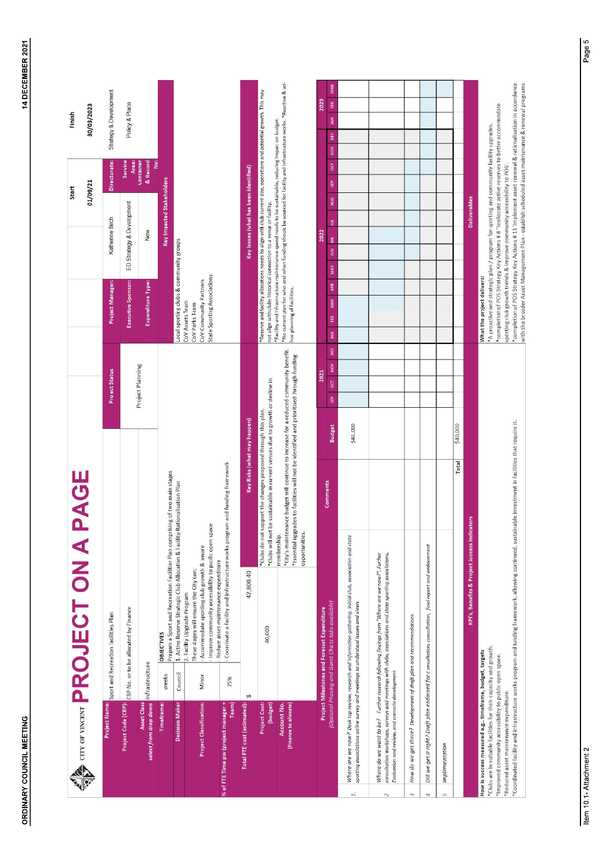|                                                                                                                                                                                                                                    |                | <b>CONDITY ON A PROJECT ON A</b>                                                                                                                                                                        |                               | PAGE                                                                                                                                                                              |                             |                       |            |                                                                                                                                                                                                                                                                                                                                                                                                                                                                                                                |                           | 01/09/21<br>Start                     |                            | 30/03/2023<br>Finish   |                  |
|------------------------------------------------------------------------------------------------------------------------------------------------------------------------------------------------------------------------------------|----------------|---------------------------------------------------------------------------------------------------------------------------------------------------------------------------------------------------------|-------------------------------|-----------------------------------------------------------------------------------------------------------------------------------------------------------------------------------|-----------------------------|-----------------------|------------|----------------------------------------------------------------------------------------------------------------------------------------------------------------------------------------------------------------------------------------------------------------------------------------------------------------------------------------------------------------------------------------------------------------------------------------------------------------------------------------------------------------|---------------------------|---------------------------------------|----------------------------|------------------------|------------------|
| Project Name:                                                                                                                                                                                                                      |                | Sport and Recreation Facilities Plan                                                                                                                                                                    |                               |                                                                                                                                                                                   |                             | <b>Project Status</b> |            | Project Manager:                                                                                                                                                                                                                                                                                                                                                                                                                                                                                               | Katherine Birch           |                                       | Directorate:               | Strategy & Development |                  |
|                                                                                                                                                                                                                                    |                | Project Code (CBP): CBP No. or to be allocated by Finance                                                                                                                                               |                               |                                                                                                                                                                                   |                             |                       |            | Executive Sponsor:                                                                                                                                                                                                                                                                                                                                                                                                                                                                                             | ED Strategy & Development |                                       | Service<br><b>Area</b>     | Policy & Place         |                  |
| Asset Class<br>select from drop down                                                                                                                                                                                               | Infrastructure |                                                                                                                                                                                                         |                               |                                                                                                                                                                                   |                             | Project Planning      |            | Expenditure Type:                                                                                                                                                                                                                                                                                                                                                                                                                                                                                              | New                       |                                       | ë<br>& Record<br>Container |                        |                  |
| <b>Timeframe:</b>                                                                                                                                                                                                                  | weeks          | Prepare a Sport and Recreation Facilities Plan comprising of two main stages<br><b>OBJECTIVES</b>                                                                                                       |                               |                                                                                                                                                                                   |                             |                       |            |                                                                                                                                                                                                                                                                                                                                                                                                                                                                                                                |                           | Key Impacted Stakeholders             |                            |                        |                  |
| Decision Maker                                                                                                                                                                                                                     | Council        | 1. Active Reserve Strategic Club Allocation & Facility Rationalisation Plan                                                                                                                             |                               |                                                                                                                                                                                   |                             |                       |            | Local sporting clubs & community groups                                                                                                                                                                                                                                                                                                                                                                                                                                                                        |                           |                                       |                            |                        |                  |
| <b>Project Classification:</b>                                                                                                                                                                                                     | Minor          | Improve community accessibility to public open space<br>- Accommodate sporting club growth & tenure<br>These stages will ensure the City can;<br>2. Facility Upgrade Program                            |                               |                                                                                                                                                                                   |                             |                       |            | State Sporting Associations<br>CoV Community Partners<br>CoV Assets Team<br>CoV Parks Team                                                                                                                                                                                                                                                                                                                                                                                                                     |                           |                                       |                            |                        |                  |
| % of FTE Time pw (project manager +<br>Team)                                                                                                                                                                                       | 75%            | Coordinate a facility and infrastructure works progr<br>Reduce asset maintenance expenditure                                                                                                            |                               | ram and funding framework                                                                                                                                                         |                             |                       |            |                                                                                                                                                                                                                                                                                                                                                                                                                                                                                                                |                           |                                       |                            |                        |                  |
| Total FTE cost (estimated)                                                                                                                                                                                                         | $\vartheta$    | 42,806.40                                                                                                                                                                                               |                               |                                                                                                                                                                                   | Key Risks (what may happen) |                       |            |                                                                                                                                                                                                                                                                                                                                                                                                                                                                                                                |                           | Key Issues (what has been identified) |                            |                        |                  |
| <b>Project Cost:</b><br>(budget)                                                                                                                                                                                                   |                | 40,000                                                                                                                                                                                                  | *Clubs will not               | be sustainable in current venues due to growth or decline in<br>*Clubs do not support the changes proposed through this plan.                                                     |                             |                       |            | *Reserve and facility allocations needs to align with club current size, operations and potential growth. This may<br>not align with clubs historical connection to a venue or facility                                                                                                                                                                                                                                                                                                                        |                           |                                       |                            |                        |                  |
| Account No.<br>(Finance to allocate)                                                                                                                                                                                               |                |                                                                                                                                                                                                         | opportunities.<br>membership. | *City's maintenance budget will continue to increase for a reduced community benefit.<br>*Essential upgrades to facilities will not be identified and prioritised through funding |                             |                       |            | *No current plan for who and when funding should be sourced for facility and infrastructure works. *Reactive & ad-<br>*Facility and infrastructure maintenance spend needs to be sustainable, reducing impact on budget.<br>hoc planning of facilities.                                                                                                                                                                                                                                                        |                           |                                       |                            |                        |                  |
|                                                                                                                                                                                                                                    |                | Project Milestones and Forecast Expenditure                                                                                                                                                             |                               |                                                                                                                                                                                   |                             | 2021                  |            |                                                                                                                                                                                                                                                                                                                                                                                                                                                                                                                | 2022                      |                                       |                            |                        | 2023             |
|                                                                                                                                                                                                                                    |                | (Optional Phasing and Gantt Charts tabs available)                                                                                                                                                      |                               | Comments                                                                                                                                                                          | <b>Budget</b>               | <b>g</b><br>SEP       | DEC<br>NOV | APR<br><b>MAR</b><br>EB<br>Š                                                                                                                                                                                                                                                                                                                                                                                                                                                                                   | E)<br>š<br><b>MAY</b>     | AUG<br>ä                              | ōα<br>SEP                  | ₫<br>DEC<br>NOW        | <b>MAR</b><br>EB |
| sporting associations online survey and meetings to understand issues and views<br>$\vec{r}$                                                                                                                                       |                | Where are we now? Desk top review, research and information gathering. Initial club, association and state                                                                                              |                               |                                                                                                                                                                                   | \$40,000                    |                       |            |                                                                                                                                                                                                                                                                                                                                                                                                                                                                                                                |                           |                                       |                            |                        |                  |
| Evaluation and review, and scenario development<br>$\sim$                                                                                                                                                                          |                | consultation workshops, surveys and meetings with clubs, associations and state sporting associations,<br>Where do we want to be? Further research following findings from "Where are we now?", Further |                               |                                                                                                                                                                                   |                             |                       |            |                                                                                                                                                                                                                                                                                                                                                                                                                                                                                                                |                           |                                       |                            |                        |                  |
| How do we get there? Development of draft plan and recommendations<br>$\infty$                                                                                                                                                     |                |                                                                                                                                                                                                         |                               |                                                                                                                                                                                   |                             |                       |            |                                                                                                                                                                                                                                                                                                                                                                                                                                                                                                                |                           |                                       |                            |                        |                  |
| 4                                                                                                                                                                                                                                  |                | Did we get it right? Draft plan endorsed for c onsultation, consultation, final report and endosement                                                                                                   |                               |                                                                                                                                                                                   |                             |                       |            |                                                                                                                                                                                                                                                                                                                                                                                                                                                                                                                |                           |                                       |                            |                        |                  |
| Implementation<br>5                                                                                                                                                                                                                |                |                                                                                                                                                                                                         |                               |                                                                                                                                                                                   |                             |                       |            |                                                                                                                                                                                                                                                                                                                                                                                                                                                                                                                |                           |                                       |                            |                        |                  |
|                                                                                                                                                                                                                                    |                |                                                                                                                                                                                                         |                               | Total                                                                                                                                                                             | \$40,000                    |                       |            |                                                                                                                                                                                                                                                                                                                                                                                                                                                                                                                |                           |                                       |                            |                        |                  |
|                                                                                                                                                                                                                                    |                | KPI's, Benefits & Project Success Indicators                                                                                                                                                            |                               |                                                                                                                                                                                   |                             |                       |            |                                                                                                                                                                                                                                                                                                                                                                                                                                                                                                                |                           | <b>Deliverables</b>                   |                            |                        |                  |
| *Clubs are in suitable facilities for their capacity and growth.<br>How is success measured e.g., timeframe, budget, targets<br>*Improved community accessibility to public open space.<br>*Reduced asset maintenance expenditure. |                | *Coordinated facility and infrastructure works program and funding framework, allowing continued, sustainable investment in facilities that require it.                                                 |                               |                                                                                                                                                                                   |                             |                       |            | *completion of POS Strategy Key Actions # 11 'Implement asset renewal & rationalisation in accordance<br>with the broader Asset Management Plan - establish scheduled asset maintenance & renewal programs<br>*completion of POS Strategy Key Actions # 8 'Reallocate active reserves to better accommodate<br>*A proactive and strategic plan / program for sporting and community facility upgrades.<br>sporting club growth trends & improve community accessibility to POS'.<br>What the project delivers: |                           |                                       |                            |                        |                  |